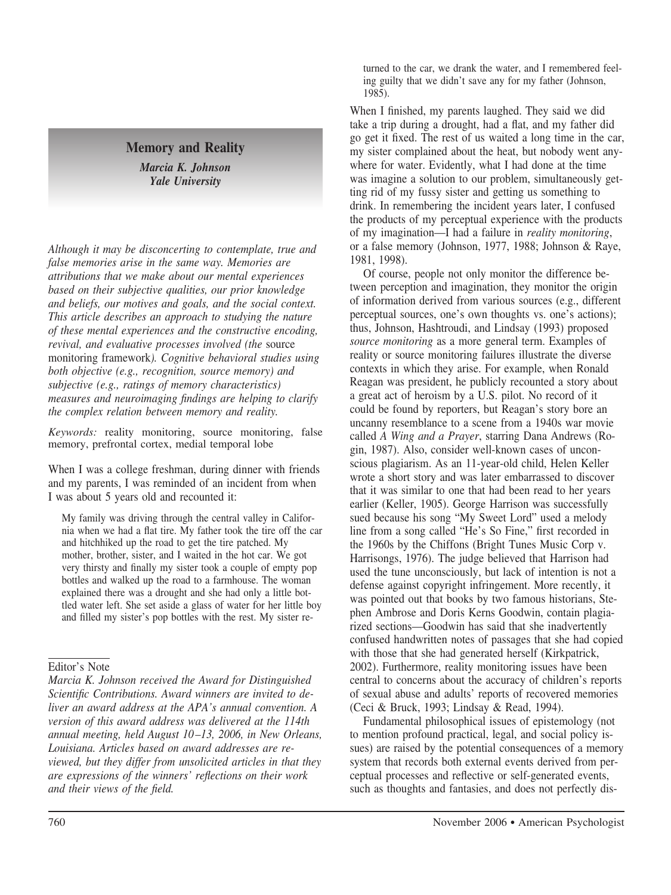# **Memory and Reality**

*Marcia K. Johnson Yale University*

*Although it may be disconcerting to contemplate, true and false memories arise in the same way. Memories are attributions that we make about our mental experiences based on their subjective qualities, our prior knowledge and beliefs, our motives and goals, and the social context. This article describes an approach to studying the nature of these mental experiences and the constructive encoding, revival, and evaluative processes involved (the* source monitoring framework*). Cognitive behavioral studies using both objective (e.g., recognition, source memory) and subjective (e.g., ratings of memory characteristics) measures and neuroimaging findings are helping to clarify the complex relation between memory and reality.*

*Keywords:* reality monitoring, source monitoring, false memory, prefrontal cortex, medial temporal lobe

When I was a college freshman, during dinner with friends and my parents, I was reminded of an incident from when I was about 5 years old and recounted it:

My family was driving through the central valley in California when we had a flat tire. My father took the tire off the car and hitchhiked up the road to get the tire patched. My mother, brother, sister, and I waited in the hot car. We got very thirsty and finally my sister took a couple of empty pop bottles and walked up the road to a farmhouse. The woman explained there was a drought and she had only a little bottled water left. She set aside a glass of water for her little boy and filled my sister's pop bottles with the rest. My sister re-

*Marcia K. Johnson received the Award for Distinguished Scientific Contributions. Award winners are invited to deliver an award address at the APA's annual convention. A version of this award address was delivered at the 114th annual meeting, held August 10 –13, 2006, in New Orleans, Louisiana. Articles based on award addresses are reviewed, but they differ from unsolicited articles in that they are expressions of the winners' reflections on their work and their views of the field.*

turned to the car, we drank the water, and I remembered feeling guilty that we didn't save any for my father (Johnson, 1985).

When I finished, my parents laughed. They said we did take a trip during a drought, had a flat, and my father did go get it fixed. The rest of us waited a long time in the car, my sister complained about the heat, but nobody went anywhere for water. Evidently, what I had done at the time was imagine a solution to our problem, simultaneously getting rid of my fussy sister and getting us something to drink. In remembering the incident years later, I confused the products of my perceptual experience with the products of my imagination—I had a failure in *reality monitoring*, or a false memory (Johnson, 1977, 1988; Johnson & Raye, 1981, 1998).

Of course, people not only monitor the difference between perception and imagination, they monitor the origin of information derived from various sources (e.g., different perceptual sources, one's own thoughts vs. one's actions); thus, Johnson, Hashtroudi, and Lindsay (1993) proposed *source monitoring* as a more general term. Examples of reality or source monitoring failures illustrate the diverse contexts in which they arise. For example, when Ronald Reagan was president, he publicly recounted a story about a great act of heroism by a U.S. pilot. No record of it could be found by reporters, but Reagan's story bore an uncanny resemblance to a scene from a 1940s war movie called *A Wing and a Prayer*, starring Dana Andrews (Rogin, 1987). Also, consider well-known cases of unconscious plagiarism. As an 11-year-old child, Helen Keller wrote a short story and was later embarrassed to discover that it was similar to one that had been read to her years earlier (Keller, 1905). George Harrison was successfully sued because his song "My Sweet Lord" used a melody line from a song called "He's So Fine," first recorded in the 1960s by the Chiffons (Bright Tunes Music Corp v. Harrisongs, 1976). The judge believed that Harrison had used the tune unconsciously, but lack of intention is not a defense against copyright infringement. More recently, it was pointed out that books by two famous historians, Stephen Ambrose and Doris Kerns Goodwin, contain plagiarized sections—Goodwin has said that she inadvertently confused handwritten notes of passages that she had copied with those that she had generated herself (Kirkpatrick, 2002). Furthermore, reality monitoring issues have been central to concerns about the accuracy of children's reports of sexual abuse and adults' reports of recovered memories (Ceci & Bruck, 1993; Lindsay & Read, 1994).

Fundamental philosophical issues of epistemology (not to mention profound practical, legal, and social policy issues) are raised by the potential consequences of a memory system that records both external events derived from perceptual processes and reflective or self-generated events, such as thoughts and fantasies, and does not perfectly dis-

Editor's Note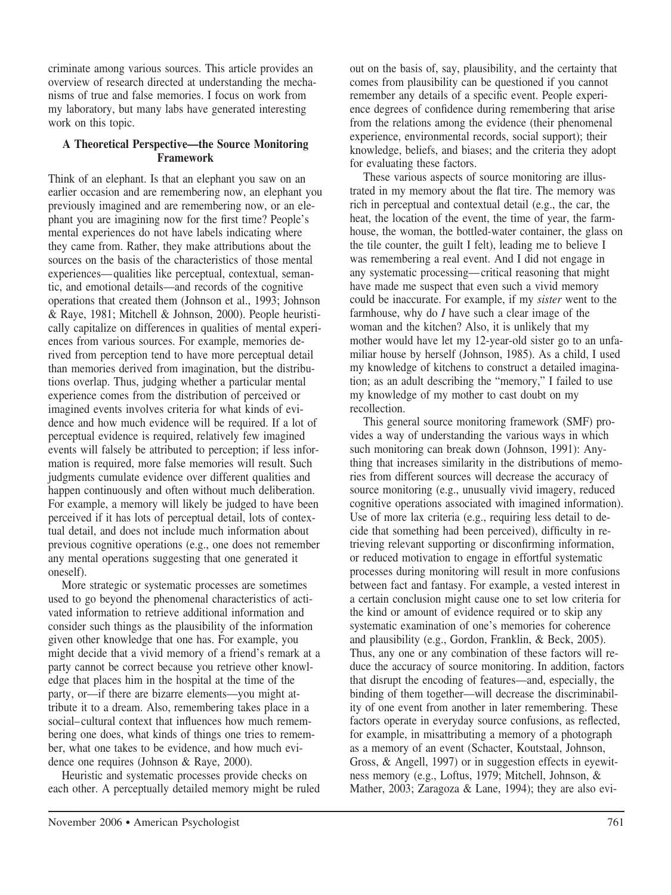criminate among various sources. This article provides an overview of research directed at understanding the mechanisms of true and false memories. I focus on work from my laboratory, but many labs have generated interesting work on this topic.

#### **A Theoretical Perspective—the Source Monitoring Framework**

Think of an elephant. Is that an elephant you saw on an earlier occasion and are remembering now, an elephant you previously imagined and are remembering now, or an elephant you are imagining now for the first time? People's mental experiences do not have labels indicating where they came from. Rather, they make attributions about the sources on the basis of the characteristics of those mental experiences—qualities like perceptual, contextual, semantic, and emotional details—and records of the cognitive operations that created them (Johnson et al., 1993; Johnson & Raye, 1981; Mitchell & Johnson, 2000). People heuristically capitalize on differences in qualities of mental experiences from various sources. For example, memories derived from perception tend to have more perceptual detail than memories derived from imagination, but the distributions overlap. Thus, judging whether a particular mental experience comes from the distribution of perceived or imagined events involves criteria for what kinds of evidence and how much evidence will be required. If a lot of perceptual evidence is required, relatively few imagined events will falsely be attributed to perception; if less information is required, more false memories will result. Such judgments cumulate evidence over different qualities and happen continuously and often without much deliberation. For example, a memory will likely be judged to have been perceived if it has lots of perceptual detail, lots of contextual detail, and does not include much information about previous cognitive operations (e.g., one does not remember any mental operations suggesting that one generated it oneself).

More strategic or systematic processes are sometimes used to go beyond the phenomenal characteristics of activated information to retrieve additional information and consider such things as the plausibility of the information given other knowledge that one has. For example, you might decide that a vivid memory of a friend's remark at a party cannot be correct because you retrieve other knowledge that places him in the hospital at the time of the party, or—if there are bizarre elements—you might attribute it to a dream. Also, remembering takes place in a social–cultural context that influences how much remembering one does, what kinds of things one tries to remember, what one takes to be evidence, and how much evidence one requires (Johnson & Raye, 2000).

Heuristic and systematic processes provide checks on each other. A perceptually detailed memory might be ruled out on the basis of, say, plausibility, and the certainty that comes from plausibility can be questioned if you cannot remember any details of a specific event. People experience degrees of confidence during remembering that arise from the relations among the evidence (their phenomenal experience, environmental records, social support); their knowledge, beliefs, and biases; and the criteria they adopt for evaluating these factors.

These various aspects of source monitoring are illustrated in my memory about the flat tire. The memory was rich in perceptual and contextual detail (e.g., the car, the heat, the location of the event, the time of year, the farmhouse, the woman, the bottled-water container, the glass on the tile counter, the guilt I felt), leading me to believe I was remembering a real event. And I did not engage in any systematic processing—critical reasoning that might have made me suspect that even such a vivid memory could be inaccurate. For example, if my *sister* went to the farmhouse, why do *I* have such a clear image of the woman and the kitchen? Also, it is unlikely that my mother would have let my 12-year-old sister go to an unfamiliar house by herself (Johnson, 1985). As a child, I used my knowledge of kitchens to construct a detailed imagination; as an adult describing the "memory," I failed to use my knowledge of my mother to cast doubt on my recollection.

This general source monitoring framework (SMF) provides a way of understanding the various ways in which such monitoring can break down (Johnson, 1991): Anything that increases similarity in the distributions of memories from different sources will decrease the accuracy of source monitoring (e.g., unusually vivid imagery, reduced cognitive operations associated with imagined information). Use of more lax criteria (e.g., requiring less detail to decide that something had been perceived), difficulty in retrieving relevant supporting or disconfirming information, or reduced motivation to engage in effortful systematic processes during monitoring will result in more confusions between fact and fantasy. For example, a vested interest in a certain conclusion might cause one to set low criteria for the kind or amount of evidence required or to skip any systematic examination of one's memories for coherence and plausibility (e.g., Gordon, Franklin, & Beck, 2005). Thus, any one or any combination of these factors will reduce the accuracy of source monitoring. In addition, factors that disrupt the encoding of features—and, especially, the binding of them together—will decrease the discriminability of one event from another in later remembering. These factors operate in everyday source confusions, as reflected, for example, in misattributing a memory of a photograph as a memory of an event (Schacter, Koutstaal, Johnson, Gross, & Angell, 1997) or in suggestion effects in eyewitness memory (e.g., Loftus, 1979; Mitchell, Johnson, & Mather, 2003; Zaragoza & Lane, 1994); they are also evi-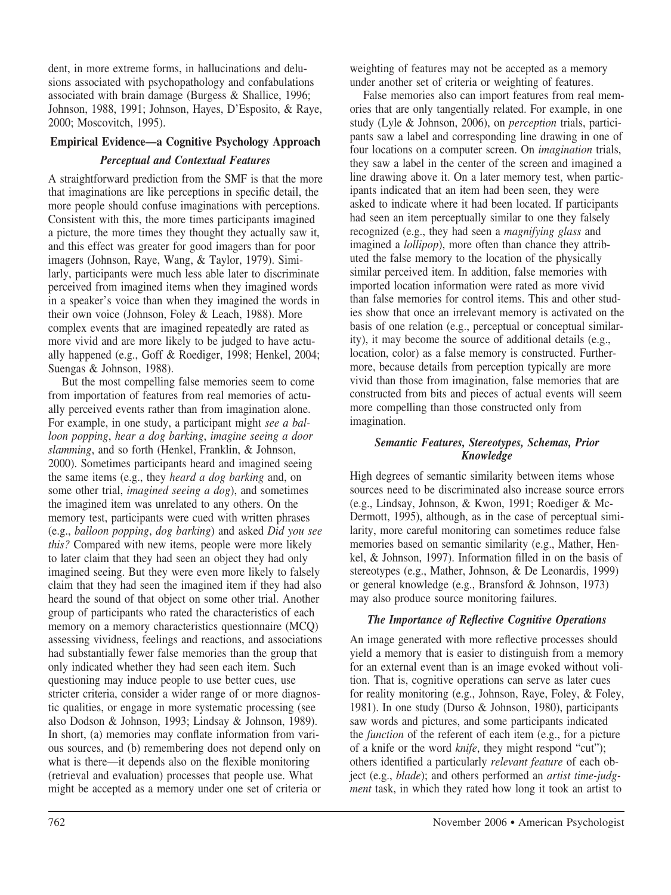dent, in more extreme forms, in hallucinations and delusions associated with psychopathology and confabulations associated with brain damage (Burgess & Shallice, 1996; Johnson, 1988, 1991; Johnson, Hayes, D'Esposito, & Raye, 2000; Moscovitch, 1995).

## **Empirical Evidence—a Cognitive Psychology Approach**

## *Perceptual and Contextual Features*

A straightforward prediction from the SMF is that the more that imaginations are like perceptions in specific detail, the more people should confuse imaginations with perceptions. Consistent with this, the more times participants imagined a picture, the more times they thought they actually saw it, and this effect was greater for good imagers than for poor imagers (Johnson, Raye, Wang, & Taylor, 1979). Similarly, participants were much less able later to discriminate perceived from imagined items when they imagined words in a speaker's voice than when they imagined the words in their own voice (Johnson, Foley & Leach, 1988). More complex events that are imagined repeatedly are rated as more vivid and are more likely to be judged to have actually happened (e.g., Goff & Roediger, 1998; Henkel, 2004; Suengas & Johnson, 1988).

But the most compelling false memories seem to come from importation of features from real memories of actually perceived events rather than from imagination alone. For example, in one study, a participant might *see a balloon popping*, *hear a dog barking*, *imagine seeing a door slamming*, and so forth (Henkel, Franklin, & Johnson, 2000). Sometimes participants heard and imagined seeing the same items (e.g., they *heard a dog barking* and, on some other trial, *imagined seeing a dog*), and sometimes the imagined item was unrelated to any others. On the memory test, participants were cued with written phrases (e.g., *balloon popping*, *dog barking*) and asked *Did you see this?* Compared with new items, people were more likely to later claim that they had seen an object they had only imagined seeing. But they were even more likely to falsely claim that they had seen the imagined item if they had also heard the sound of that object on some other trial. Another group of participants who rated the characteristics of each memory on a memory characteristics questionnaire (MCQ) assessing vividness, feelings and reactions, and associations had substantially fewer false memories than the group that only indicated whether they had seen each item. Such questioning may induce people to use better cues, use stricter criteria, consider a wider range of or more diagnostic qualities, or engage in more systematic processing (see also Dodson & Johnson, 1993; Lindsay & Johnson, 1989). In short, (a) memories may conflate information from various sources, and (b) remembering does not depend only on what is there—it depends also on the flexible monitoring (retrieval and evaluation) processes that people use. What might be accepted as a memory under one set of criteria or

weighting of features may not be accepted as a memory under another set of criteria or weighting of features.

False memories also can import features from real memories that are only tangentially related. For example, in one study (Lyle & Johnson, 2006), on *perception* trials, participants saw a label and corresponding line drawing in one of four locations on a computer screen. On *imagination* trials, they saw a label in the center of the screen and imagined a line drawing above it. On a later memory test, when participants indicated that an item had been seen, they were asked to indicate where it had been located. If participants had seen an item perceptually similar to one they falsely recognized (e.g., they had seen a *magnifying glass* and imagined a *lollipop*), more often than chance they attributed the false memory to the location of the physically similar perceived item. In addition, false memories with imported location information were rated as more vivid than false memories for control items. This and other studies show that once an irrelevant memory is activated on the basis of one relation (e.g., perceptual or conceptual similarity), it may become the source of additional details (e.g., location, color) as a false memory is constructed. Furthermore, because details from perception typically are more vivid than those from imagination, false memories that are constructed from bits and pieces of actual events will seem more compelling than those constructed only from imagination.

## *Semantic Features, Stereotypes, Schemas, Prior Knowledge*

High degrees of semantic similarity between items whose sources need to be discriminated also increase source errors (e.g., Lindsay, Johnson, & Kwon, 1991; Roediger & Mc-Dermott, 1995), although, as in the case of perceptual similarity, more careful monitoring can sometimes reduce false memories based on semantic similarity (e.g., Mather, Henkel, & Johnson, 1997). Information filled in on the basis of stereotypes (e.g., Mather, Johnson, & De Leonardis, 1999) or general knowledge (e.g., Bransford & Johnson, 1973) may also produce source monitoring failures.

## *The Importance of Reflective Cognitive Operations*

An image generated with more reflective processes should yield a memory that is easier to distinguish from a memory for an external event than is an image evoked without volition. That is, cognitive operations can serve as later cues for reality monitoring (e.g., Johnson, Raye, Foley, & Foley, 1981). In one study (Durso & Johnson, 1980), participants saw words and pictures, and some participants indicated the *function* of the referent of each item (e.g., for a picture of a knife or the word *knife*, they might respond "cut"); others identified a particularly *relevant feature* of each object (e.g., *blade*); and others performed an *artist time-judgment* task, in which they rated how long it took an artist to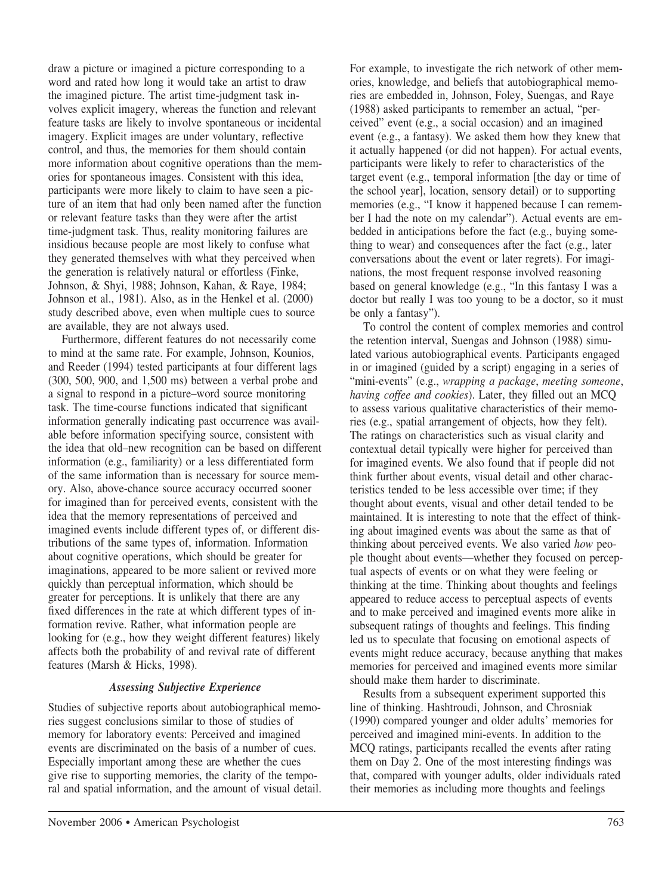draw a picture or imagined a picture corresponding to a word and rated how long it would take an artist to draw the imagined picture. The artist time-judgment task involves explicit imagery, whereas the function and relevant feature tasks are likely to involve spontaneous or incidental imagery. Explicit images are under voluntary, reflective control, and thus, the memories for them should contain more information about cognitive operations than the memories for spontaneous images. Consistent with this idea, participants were more likely to claim to have seen a picture of an item that had only been named after the function or relevant feature tasks than they were after the artist time-judgment task. Thus, reality monitoring failures are insidious because people are most likely to confuse what they generated themselves with what they perceived when the generation is relatively natural or effortless (Finke, Johnson, & Shyi, 1988; Johnson, Kahan, & Raye, 1984; Johnson et al., 1981). Also, as in the Henkel et al. (2000) study described above, even when multiple cues to source are available, they are not always used.

Furthermore, different features do not necessarily come to mind at the same rate. For example, Johnson, Kounios, and Reeder (1994) tested participants at four different lags (300, 500, 900, and 1,500 ms) between a verbal probe and a signal to respond in a picture–word source monitoring task. The time-course functions indicated that significant information generally indicating past occurrence was available before information specifying source, consistent with the idea that old–new recognition can be based on different information (e.g., familiarity) or a less differentiated form of the same information than is necessary for source memory. Also, above-chance source accuracy occurred sooner for imagined than for perceived events, consistent with the idea that the memory representations of perceived and imagined events include different types of, or different distributions of the same types of, information. Information about cognitive operations, which should be greater for imaginations, appeared to be more salient or revived more quickly than perceptual information, which should be greater for perceptions. It is unlikely that there are any fixed differences in the rate at which different types of information revive. Rather, what information people are looking for (e.g., how they weight different features) likely affects both the probability of and revival rate of different features (Marsh & Hicks, 1998).

#### *Assessing Subjective Experience*

Studies of subjective reports about autobiographical memories suggest conclusions similar to those of studies of memory for laboratory events: Perceived and imagined events are discriminated on the basis of a number of cues. Especially important among these are whether the cues give rise to supporting memories, the clarity of the temporal and spatial information, and the amount of visual detail. For example, to investigate the rich network of other memories, knowledge, and beliefs that autobiographical memories are embedded in, Johnson, Foley, Suengas, and Raye (1988) asked participants to remember an actual, "perceived" event (e.g., a social occasion) and an imagined event (e.g., a fantasy). We asked them how they knew that it actually happened (or did not happen). For actual events, participants were likely to refer to characteristics of the target event (e.g., temporal information [the day or time of the school year], location, sensory detail) or to supporting memories (e.g., "I know it happened because I can remember I had the note on my calendar"). Actual events are embedded in anticipations before the fact (e.g., buying something to wear) and consequences after the fact (e.g., later conversations about the event or later regrets). For imaginations, the most frequent response involved reasoning based on general knowledge (e.g., "In this fantasy I was a doctor but really I was too young to be a doctor, so it must be only a fantasy").

To control the content of complex memories and control the retention interval, Suengas and Johnson (1988) simulated various autobiographical events. Participants engaged in or imagined (guided by a script) engaging in a series of "mini-events" (e.g., *wrapping a package*, *meeting someone*, *having coffee and cookies*). Later, they filled out an MCQ to assess various qualitative characteristics of their memories (e.g., spatial arrangement of objects, how they felt). The ratings on characteristics such as visual clarity and contextual detail typically were higher for perceived than for imagined events. We also found that if people did not think further about events, visual detail and other characteristics tended to be less accessible over time; if they thought about events, visual and other detail tended to be maintained. It is interesting to note that the effect of thinking about imagined events was about the same as that of thinking about perceived events. We also varied *how* people thought about events—whether they focused on perceptual aspects of events or on what they were feeling or thinking at the time. Thinking about thoughts and feelings appeared to reduce access to perceptual aspects of events and to make perceived and imagined events more alike in subsequent ratings of thoughts and feelings. This finding led us to speculate that focusing on emotional aspects of events might reduce accuracy, because anything that makes memories for perceived and imagined events more similar should make them harder to discriminate.

Results from a subsequent experiment supported this line of thinking. Hashtroudi, Johnson, and Chrosniak (1990) compared younger and older adults' memories for perceived and imagined mini-events. In addition to the MCQ ratings, participants recalled the events after rating them on Day 2. One of the most interesting findings was that, compared with younger adults, older individuals rated their memories as including more thoughts and feelings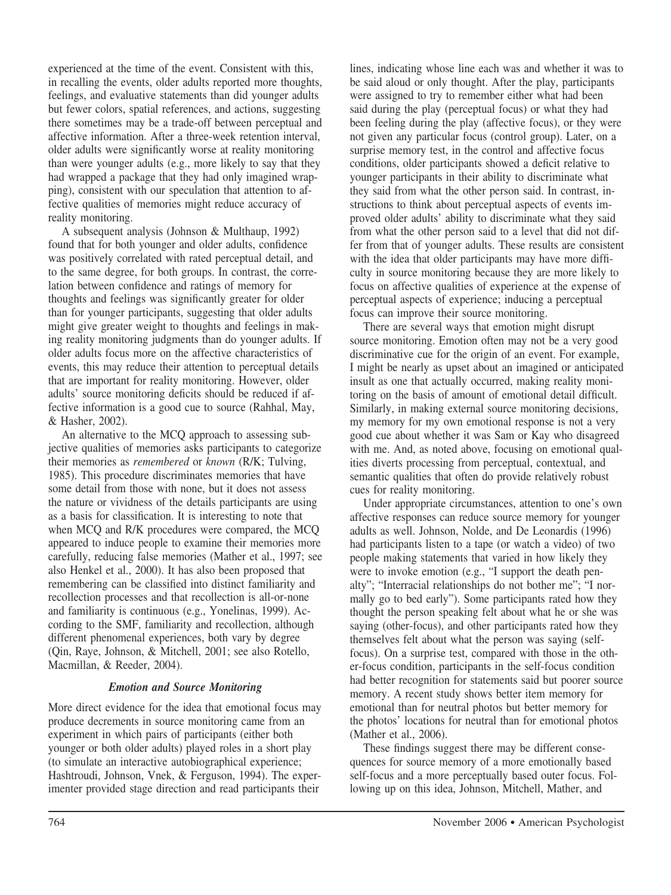experienced at the time of the event. Consistent with this, in recalling the events, older adults reported more thoughts, feelings, and evaluative statements than did younger adults but fewer colors, spatial references, and actions, suggesting there sometimes may be a trade-off between perceptual and affective information. After a three-week retention interval, older adults were significantly worse at reality monitoring than were younger adults (e.g., more likely to say that they had wrapped a package that they had only imagined wrapping), consistent with our speculation that attention to affective qualities of memories might reduce accuracy of reality monitoring.

A subsequent analysis (Johnson & Multhaup, 1992) found that for both younger and older adults, confidence was positively correlated with rated perceptual detail, and to the same degree, for both groups. In contrast, the correlation between confidence and ratings of memory for thoughts and feelings was significantly greater for older than for younger participants, suggesting that older adults might give greater weight to thoughts and feelings in making reality monitoring judgments than do younger adults. If older adults focus more on the affective characteristics of events, this may reduce their attention to perceptual details that are important for reality monitoring. However, older adults' source monitoring deficits should be reduced if affective information is a good cue to source (Rahhal, May, & Hasher, 2002).

An alternative to the MCQ approach to assessing subjective qualities of memories asks participants to categorize their memories as *remembered* or *known* (R/K; Tulving, 1985). This procedure discriminates memories that have some detail from those with none, but it does not assess the nature or vividness of the details participants are using as a basis for classification. It is interesting to note that when MCQ and R/K procedures were compared, the MCQ appeared to induce people to examine their memories more carefully, reducing false memories (Mather et al., 1997; see also Henkel et al., 2000). It has also been proposed that remembering can be classified into distinct familiarity and recollection processes and that recollection is all-or-none and familiarity is continuous (e.g., Yonelinas, 1999). According to the SMF, familiarity and recollection, although different phenomenal experiences, both vary by degree (Qin, Raye, Johnson, & Mitchell, 2001; see also Rotello, Macmillan, & Reeder, 2004).

#### *Emotion and Source Monitoring*

More direct evidence for the idea that emotional focus may produce decrements in source monitoring came from an experiment in which pairs of participants (either both younger or both older adults) played roles in a short play (to simulate an interactive autobiographical experience; Hashtroudi, Johnson, Vnek, & Ferguson, 1994). The experimenter provided stage direction and read participants their

lines, indicating whose line each was and whether it was to be said aloud or only thought. After the play, participants were assigned to try to remember either what had been said during the play (perceptual focus) or what they had been feeling during the play (affective focus), or they were not given any particular focus (control group). Later, on a surprise memory test, in the control and affective focus conditions, older participants showed a deficit relative to younger participants in their ability to discriminate what they said from what the other person said. In contrast, instructions to think about perceptual aspects of events improved older adults' ability to discriminate what they said from what the other person said to a level that did not differ from that of younger adults. These results are consistent with the idea that older participants may have more difficulty in source monitoring because they are more likely to focus on affective qualities of experience at the expense of perceptual aspects of experience; inducing a perceptual focus can improve their source monitoring.

There are several ways that emotion might disrupt source monitoring. Emotion often may not be a very good discriminative cue for the origin of an event. For example, I might be nearly as upset about an imagined or anticipated insult as one that actually occurred, making reality monitoring on the basis of amount of emotional detail difficult. Similarly, in making external source monitoring decisions, my memory for my own emotional response is not a very good cue about whether it was Sam or Kay who disagreed with me. And, as noted above, focusing on emotional qualities diverts processing from perceptual, contextual, and semantic qualities that often do provide relatively robust cues for reality monitoring.

Under appropriate circumstances, attention to one's own affective responses can reduce source memory for younger adults as well. Johnson, Nolde, and De Leonardis (1996) had participants listen to a tape (or watch a video) of two people making statements that varied in how likely they were to invoke emotion (e.g., "I support the death penalty"; "Interracial relationships do not bother me"; "I normally go to bed early"). Some participants rated how they thought the person speaking felt about what he or she was saying (other-focus), and other participants rated how they themselves felt about what the person was saying (selffocus). On a surprise test, compared with those in the other-focus condition, participants in the self-focus condition had better recognition for statements said but poorer source memory. A recent study shows better item memory for emotional than for neutral photos but better memory for the photos' locations for neutral than for emotional photos (Mather et al., 2006).

These findings suggest there may be different consequences for source memory of a more emotionally based self-focus and a more perceptually based outer focus. Following up on this idea, Johnson, Mitchell, Mather, and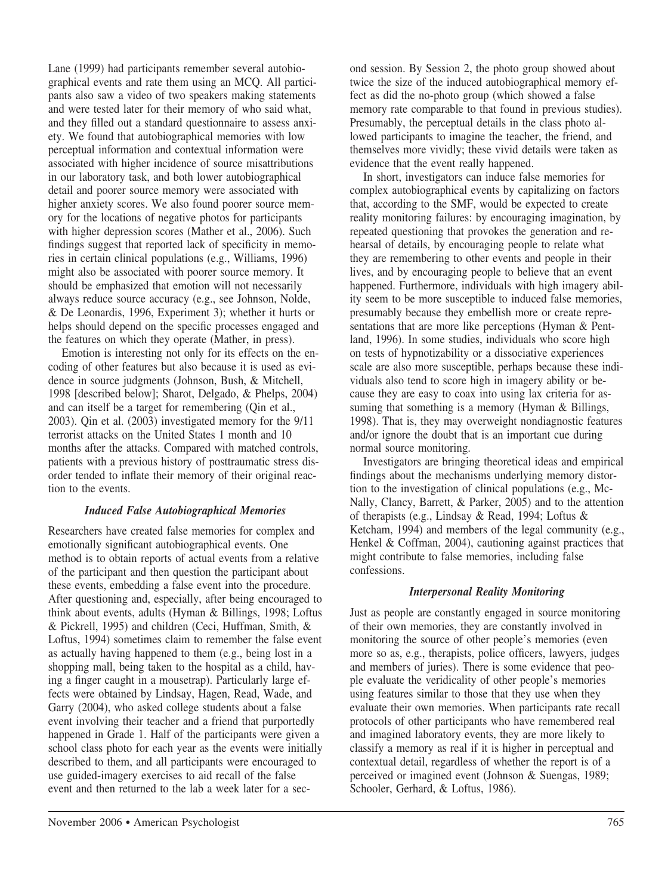Lane (1999) had participants remember several autobiographical events and rate them using an MCQ. All participants also saw a video of two speakers making statements and were tested later for their memory of who said what, and they filled out a standard questionnaire to assess anxiety. We found that autobiographical memories with low perceptual information and contextual information were associated with higher incidence of source misattributions in our laboratory task, and both lower autobiographical detail and poorer source memory were associated with higher anxiety scores. We also found poorer source memory for the locations of negative photos for participants with higher depression scores (Mather et al., 2006). Such findings suggest that reported lack of specificity in memories in certain clinical populations (e.g., Williams, 1996) might also be associated with poorer source memory. It should be emphasized that emotion will not necessarily always reduce source accuracy (e.g., see Johnson, Nolde, & De Leonardis, 1996, Experiment 3); whether it hurts or helps should depend on the specific processes engaged and the features on which they operate (Mather, in press).

Emotion is interesting not only for its effects on the encoding of other features but also because it is used as evidence in source judgments (Johnson, Bush, & Mitchell, 1998 [described below]; Sharot, Delgado, & Phelps, 2004) and can itself be a target for remembering (Qin et al., 2003). Qin et al. (2003) investigated memory for the 9/11 terrorist attacks on the United States 1 month and 10 months after the attacks. Compared with matched controls, patients with a previous history of posttraumatic stress disorder tended to inflate their memory of their original reaction to the events.

#### *Induced False Autobiographical Memories*

Researchers have created false memories for complex and emotionally significant autobiographical events. One method is to obtain reports of actual events from a relative of the participant and then question the participant about these events, embedding a false event into the procedure. After questioning and, especially, after being encouraged to think about events, adults (Hyman & Billings, 1998; Loftus & Pickrell, 1995) and children (Ceci, Huffman, Smith, & Loftus, 1994) sometimes claim to remember the false event as actually having happened to them (e.g., being lost in a shopping mall, being taken to the hospital as a child, having a finger caught in a mousetrap). Particularly large effects were obtained by Lindsay, Hagen, Read, Wade, and Garry (2004), who asked college students about a false event involving their teacher and a friend that purportedly happened in Grade 1. Half of the participants were given a school class photo for each year as the events were initially described to them, and all participants were encouraged to use guided-imagery exercises to aid recall of the false event and then returned to the lab a week later for a second session. By Session 2, the photo group showed about twice the size of the induced autobiographical memory effect as did the no-photo group (which showed a false memory rate comparable to that found in previous studies). Presumably, the perceptual details in the class photo allowed participants to imagine the teacher, the friend, and themselves more vividly; these vivid details were taken as evidence that the event really happened.

In short, investigators can induce false memories for complex autobiographical events by capitalizing on factors that, according to the SMF, would be expected to create reality monitoring failures: by encouraging imagination, by repeated questioning that provokes the generation and rehearsal of details, by encouraging people to relate what they are remembering to other events and people in their lives, and by encouraging people to believe that an event happened. Furthermore, individuals with high imagery ability seem to be more susceptible to induced false memories, presumably because they embellish more or create representations that are more like perceptions (Hyman & Pentland, 1996). In some studies, individuals who score high on tests of hypnotizability or a dissociative experiences scale are also more susceptible, perhaps because these individuals also tend to score high in imagery ability or because they are easy to coax into using lax criteria for assuming that something is a memory (Hyman & Billings, 1998). That is, they may overweight nondiagnostic features and/or ignore the doubt that is an important cue during normal source monitoring.

Investigators are bringing theoretical ideas and empirical findings about the mechanisms underlying memory distortion to the investigation of clinical populations (e.g., Mc-Nally, Clancy, Barrett, & Parker, 2005) and to the attention of therapists (e.g., Lindsay & Read, 1994; Loftus & Ketcham, 1994) and members of the legal community (e.g., Henkel & Coffman, 2004), cautioning against practices that might contribute to false memories, including false confessions.

# *Interpersonal Reality Monitoring*

Just as people are constantly engaged in source monitoring of their own memories, they are constantly involved in monitoring the source of other people's memories (even more so as, e.g., therapists, police officers, lawyers, judges and members of juries). There is some evidence that people evaluate the veridicality of other people's memories using features similar to those that they use when they evaluate their own memories. When participants rate recall protocols of other participants who have remembered real and imagined laboratory events, they are more likely to classify a memory as real if it is higher in perceptual and contextual detail, regardless of whether the report is of a perceived or imagined event (Johnson & Suengas, 1989; Schooler, Gerhard, & Loftus, 1986).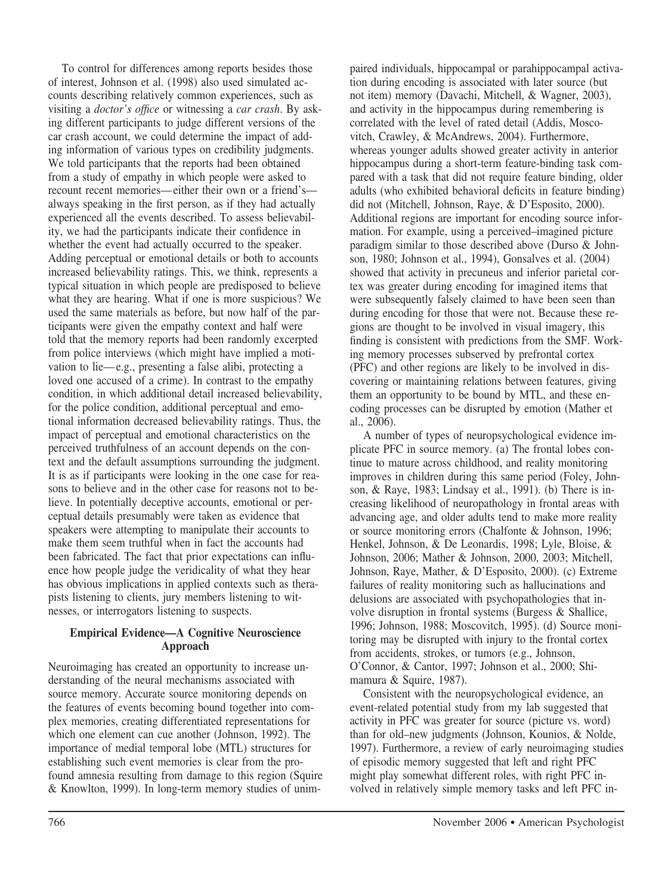To control for differences among reports besides those of interest, Johnson et al. (1998) also used simulated accounts describing relatively common experiences, such as visiting a *doctor's office* or witnessing a *car crash*. By asking different participants to judge different versions of the car crash account, we could determine the impact of adding information of various types on credibility judgments. We told participants that the reports had been obtained from a study of empathy in which people were asked to recount recent memories—either their own or a friend's always speaking in the first person, as if they had actually experienced all the events described. To assess believability, we had the participants indicate their confidence in whether the event had actually occurred to the speaker. Adding perceptual or emotional details or both to accounts increased believability ratings. This, we think, represents a typical situation in which people are predisposed to believe what they are hearing. What if one is more suspicious? We used the same materials as before, but now half of the participants were given the empathy context and half were told that the memory reports had been randomly excerpted from police interviews (which might have implied a motivation to lie—e.g., presenting a false alibi, protecting a loved one accused of a crime). In contrast to the empathy condition, in which additional detail increased believability, for the police condition, additional perceptual and emotional information decreased believability ratings. Thus, the impact of perceptual and emotional characteristics on the perceived truthfulness of an account depends on the context and the default assumptions surrounding the judgment. It is as if participants were looking in the one case for reasons to believe and in the other case for reasons not to believe. In potentially deceptive accounts, emotional or perceptual details presumably were taken as evidence that speakers were attempting to manipulate their accounts to make them seem truthful when in fact the accounts had been fabricated. The fact that prior expectations can influence how people judge the veridicality of what they hear has obvious implications in applied contexts such as therapists listening to clients, jury members listening to witnesses, or interrogators listening to suspects.

#### **Empirical Evidence—A Cognitive Neuroscience Approach**

Neuroimaging has created an opportunity to increase understanding of the neural mechanisms associated with source memory. Accurate source monitoring depends on the features of events becoming bound together into complex memories, creating differentiated representations for which one element can cue another (Johnson, 1992). The importance of medial temporal lobe (MTL) structures for establishing such event memories is clear from the profound amnesia resulting from damage to this region (Squire & Knowlton, 1999). In long-term memory studies of unimpaired individuals, hippocampal or parahippocampal activation during encoding is associated with later source (but not item) memory (Davachi, Mitchell, & Wagner, 2003), and activity in the hippocampus during remembering is correlated with the level of rated detail (Addis, Moscovitch, Crawley, & McAndrews, 2004). Furthermore, whereas younger adults showed greater activity in anterior hippocampus during a short-term feature-binding task compared with a task that did not require feature binding, older adults (who exhibited behavioral deficits in feature binding) did not (Mitchell, Johnson, Raye, & D'Esposito, 2000). Additional regions are important for encoding source information. For example, using a perceived–imagined picture paradigm similar to those described above (Durso & Johnson, 1980; Johnson et al., 1994), Gonsalves et al. (2004) showed that activity in precuneus and inferior parietal cortex was greater during encoding for imagined items that were subsequently falsely claimed to have been seen than during encoding for those that were not. Because these regions are thought to be involved in visual imagery, this finding is consistent with predictions from the SMF. Working memory processes subserved by prefrontal cortex (PFC) and other regions are likely to be involved in discovering or maintaining relations between features, giving them an opportunity to be bound by MTL, and these encoding processes can be disrupted by emotion (Mather et al., 2006).

A number of types of neuropsychological evidence implicate PFC in source memory. (a) The frontal lobes continue to mature across childhood, and reality monitoring improves in children during this same period (Foley, Johnson, & Raye, 1983; Lindsay et al., 1991). (b) There is increasing likelihood of neuropathology in frontal areas with advancing age, and older adults tend to make more reality or source monitoring errors (Chalfonte & Johnson, 1996; Henkel, Johnson, & De Leonardis, 1998; Lyle, Bloise, & Johnson, 2006; Mather & Johnson, 2000, 2003; Mitchell, Johnson, Raye, Mather, & D'Esposito, 2000). (c) Extreme failures of reality monitoring such as hallucinations and delusions are associated with psychopathologies that involve disruption in frontal systems (Burgess & Shallice, 1996; Johnson, 1988; Moscovitch, 1995). (d) Source monitoring may be disrupted with injury to the frontal cortex from accidents, strokes, or tumors (e.g., Johnson, O'Connor, & Cantor, 1997; Johnson et al., 2000; Shimamura & Squire, 1987).

Consistent with the neuropsychological evidence, an event-related potential study from my lab suggested that activity in PFC was greater for source (picture vs. word) than for old–new judgments (Johnson, Kounios, & Nolde, 1997). Furthermore, a review of early neuroimaging studies of episodic memory suggested that left and right PFC might play somewhat different roles, with right PFC involved in relatively simple memory tasks and left PFC in-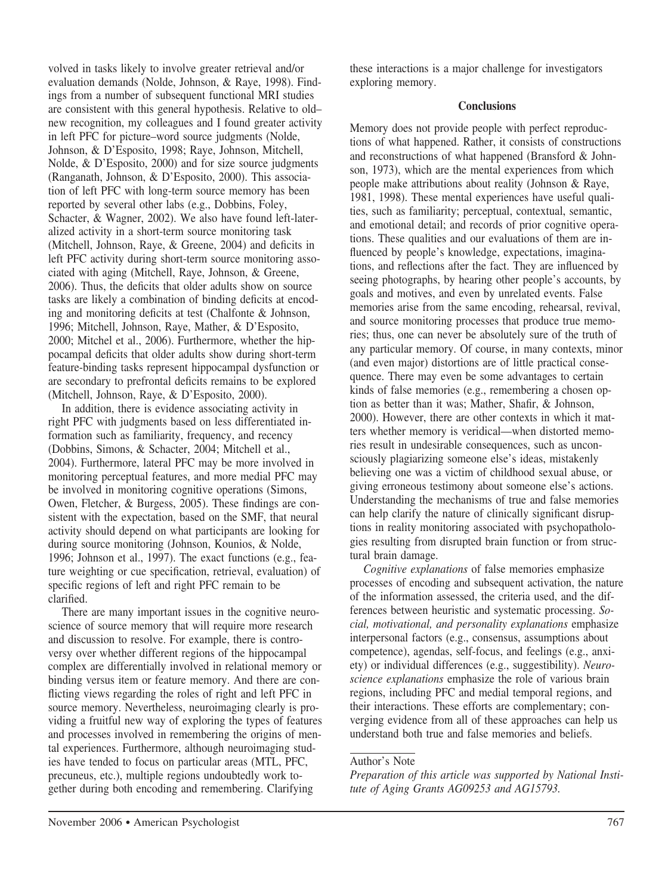volved in tasks likely to involve greater retrieval and/or evaluation demands (Nolde, Johnson, & Raye, 1998). Findings from a number of subsequent functional MRI studies are consistent with this general hypothesis. Relative to old– new recognition, my colleagues and I found greater activity in left PFC for picture–word source judgments (Nolde, Johnson, & D'Esposito, 1998; Raye, Johnson, Mitchell, Nolde, & D'Esposito, 2000) and for size source judgments (Ranganath, Johnson, & D'Esposito, 2000). This association of left PFC with long-term source memory has been reported by several other labs (e.g., Dobbins, Foley, Schacter, & Wagner, 2002). We also have found left-lateralized activity in a short-term source monitoring task (Mitchell, Johnson, Raye, & Greene, 2004) and deficits in left PFC activity during short-term source monitoring associated with aging (Mitchell, Raye, Johnson, & Greene, 2006). Thus, the deficits that older adults show on source tasks are likely a combination of binding deficits at encoding and monitoring deficits at test (Chalfonte & Johnson, 1996; Mitchell, Johnson, Raye, Mather, & D'Esposito, 2000; Mitchel et al., 2006). Furthermore, whether the hippocampal deficits that older adults show during short-term feature-binding tasks represent hippocampal dysfunction or are secondary to prefrontal deficits remains to be explored (Mitchell, Johnson, Raye, & D'Esposito, 2000).

In addition, there is evidence associating activity in right PFC with judgments based on less differentiated information such as familiarity, frequency, and recency (Dobbins, Simons, & Schacter, 2004; Mitchell et al., 2004). Furthermore, lateral PFC may be more involved in monitoring perceptual features, and more medial PFC may be involved in monitoring cognitive operations (Simons, Owen, Fletcher, & Burgess, 2005). These findings are consistent with the expectation, based on the SMF, that neural activity should depend on what participants are looking for during source monitoring (Johnson, Kounios, & Nolde, 1996; Johnson et al., 1997). The exact functions (e.g., feature weighting or cue specification, retrieval, evaluation) of specific regions of left and right PFC remain to be clarified.

There are many important issues in the cognitive neuroscience of source memory that will require more research and discussion to resolve. For example, there is controversy over whether different regions of the hippocampal complex are differentially involved in relational memory or binding versus item or feature memory. And there are conflicting views regarding the roles of right and left PFC in source memory. Nevertheless, neuroimaging clearly is providing a fruitful new way of exploring the types of features and processes involved in remembering the origins of mental experiences. Furthermore, although neuroimaging studies have tended to focus on particular areas (MTL, PFC, precuneus, etc.), multiple regions undoubtedly work together during both encoding and remembering. Clarifying

these interactions is a major challenge for investigators exploring memory.

#### **Conclusions**

Memory does not provide people with perfect reproductions of what happened. Rather, it consists of constructions and reconstructions of what happened (Bransford & Johnson, 1973), which are the mental experiences from which people make attributions about reality (Johnson & Raye, 1981, 1998). These mental experiences have useful qualities, such as familiarity; perceptual, contextual, semantic, and emotional detail; and records of prior cognitive operations. These qualities and our evaluations of them are influenced by people's knowledge, expectations, imaginations, and reflections after the fact. They are influenced by seeing photographs, by hearing other people's accounts, by goals and motives, and even by unrelated events. False memories arise from the same encoding, rehearsal, revival, and source monitoring processes that produce true memories; thus, one can never be absolutely sure of the truth of any particular memory. Of course, in many contexts, minor (and even major) distortions are of little practical consequence. There may even be some advantages to certain kinds of false memories (e.g., remembering a chosen option as better than it was; Mather, Shafir, & Johnson, 2000). However, there are other contexts in which it matters whether memory is veridical—when distorted memories result in undesirable consequences, such as unconsciously plagiarizing someone else's ideas, mistakenly believing one was a victim of childhood sexual abuse, or giving erroneous testimony about someone else's actions. Understanding the mechanisms of true and false memories can help clarify the nature of clinically significant disruptions in reality monitoring associated with psychopathologies resulting from disrupted brain function or from structural brain damage.

*Cognitive explanations* of false memories emphasize processes of encoding and subsequent activation, the nature of the information assessed, the criteria used, and the differences between heuristic and systematic processing. *Social, motivational, and personality explanations* emphasize interpersonal factors (e.g., consensus, assumptions about competence), agendas, self-focus, and feelings (e.g., anxiety) or individual differences (e.g., suggestibility). *Neuroscience explanations* emphasize the role of various brain regions, including PFC and medial temporal regions, and their interactions. These efforts are complementary; converging evidence from all of these approaches can help us understand both true and false memories and beliefs.

## Author's Note

*Preparation of this article was supported by National Institute of Aging Grants AG09253 and AG15793.*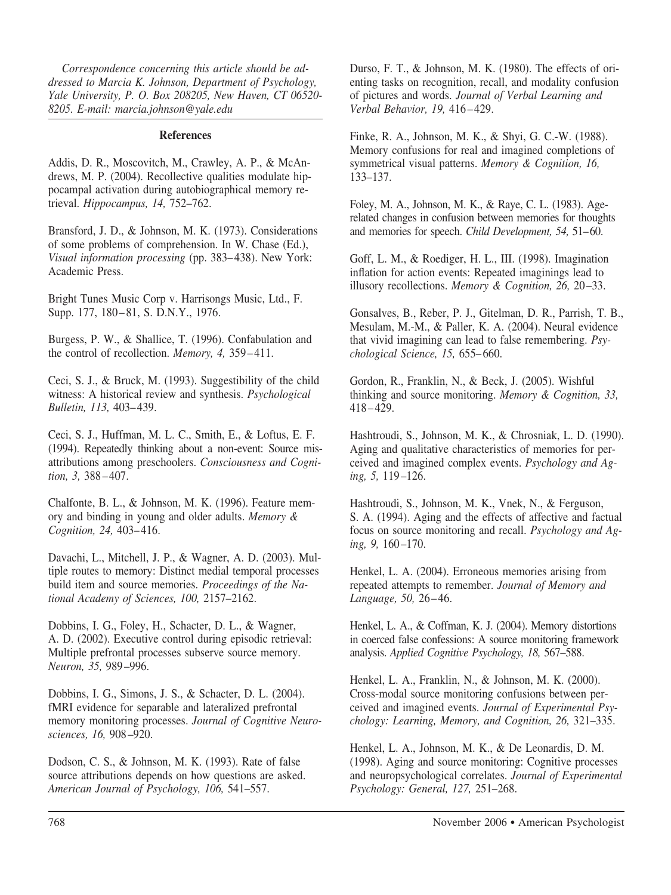*Correspondence concerning this article should be addressed to Marcia K. Johnson, Department of Psychology, Yale University, P. O. Box 208205, New Haven, CT 06520- 8205. E-mail: marcia.johnson@yale.edu*

## **References**

Addis, D. R., Moscovitch, M., Crawley, A. P., & McAndrews, M. P. (2004). Recollective qualities modulate hippocampal activation during autobiographical memory retrieval. *Hippocampus, 14,* 752–762.

Bransford, J. D., & Johnson, M. K. (1973). Considerations of some problems of comprehension. In W. Chase (Ed.), *Visual information processing* (pp. 383–438). New York: Academic Press.

Bright Tunes Music Corp v. Harrisongs Music, Ltd., F. Supp. 177, 180–81, S. D.N.Y., 1976.

Burgess, P. W., & Shallice, T. (1996). Confabulation and the control of recollection. *Memory, 4,* 359–411.

Ceci, S. J., & Bruck, M. (1993). Suggestibility of the child witness: A historical review and synthesis. *Psychological Bulletin, 113,* 403–439.

Ceci, S. J., Huffman, M. L. C., Smith, E., & Loftus, E. F. (1994). Repeatedly thinking about a non-event: Source misattributions among preschoolers. *Consciousness and Cognition, 3,* 388–407.

Chalfonte, B. L., & Johnson, M. K. (1996). Feature memory and binding in young and older adults. *Memory & Cognition, 24,* 403–416.

Davachi, L., Mitchell, J. P., & Wagner, A. D. (2003). Multiple routes to memory: Distinct medial temporal processes build item and source memories. *Proceedings of the National Academy of Sciences, 100,* 2157–2162.

Dobbins, I. G., Foley, H., Schacter, D. L., & Wagner, A. D. (2002). Executive control during episodic retrieval: Multiple prefrontal processes subserve source memory. *Neuron, 35,* 989–996.

Dobbins, I. G., Simons, J. S., & Schacter, D. L. (2004). fMRI evidence for separable and lateralized prefrontal memory monitoring processes. *Journal of Cognitive Neurosciences, 16,* 908–920.

Dodson, C. S., & Johnson, M. K. (1993). Rate of false source attributions depends on how questions are asked. *American Journal of Psychology, 106,* 541–557.

Durso, F. T., & Johnson, M. K. (1980). The effects of orienting tasks on recognition, recall, and modality confusion of pictures and words. *Journal of Verbal Learning and Verbal Behavior, 19,* 416–429.

Finke, R. A., Johnson, M. K., & Shyi, G. C.-W. (1988). Memory confusions for real and imagined completions of symmetrical visual patterns. *Memory & Cognition, 16,* 133–137.

Foley, M. A., Johnson, M. K., & Raye, C. L. (1983). Agerelated changes in confusion between memories for thoughts and memories for speech. *Child Development, 54,* 51–60.

Goff, L. M., & Roediger, H. L., III. (1998). Imagination inflation for action events: Repeated imaginings lead to illusory recollections. *Memory & Cognition, 26,* 20–33.

Gonsalves, B., Reber, P. J., Gitelman, D. R., Parrish, T. B., Mesulam, M.-M., & Paller, K. A. (2004). Neural evidence that vivid imagining can lead to false remembering. *Psychological Science, 15,* 655–660.

Gordon, R., Franklin, N., & Beck, J. (2005). Wishful thinking and source monitoring. *Memory & Cognition, 33,* 418–429.

Hashtroudi, S., Johnson, M. K., & Chrosniak, L. D. (1990). Aging and qualitative characteristics of memories for perceived and imagined complex events. *Psychology and Aging, 5,* 119–126.

Hashtroudi, S., Johnson, M. K., Vnek, N., & Ferguson, S. A. (1994). Aging and the effects of affective and factual focus on source monitoring and recall. *Psychology and Aging, 9,* 160–170.

Henkel, L. A. (2004). Erroneous memories arising from repeated attempts to remember. *Journal of Memory and Language, 50,* 26–46.

Henkel, L. A., & Coffman, K. J. (2004). Memory distortions in coerced false confessions: A source monitoring framework analysis. *Applied Cognitive Psychology, 18,* 567–588.

Henkel, L. A., Franklin, N., & Johnson, M. K. (2000). Cross-modal source monitoring confusions between perceived and imagined events. *Journal of Experimental Psychology: Learning, Memory, and Cognition, 26,* 321–335.

Henkel, L. A., Johnson, M. K., & De Leonardis, D. M. (1998). Aging and source monitoring: Cognitive processes and neuropsychological correlates. *Journal of Experimental Psychology: General, 127,* 251–268.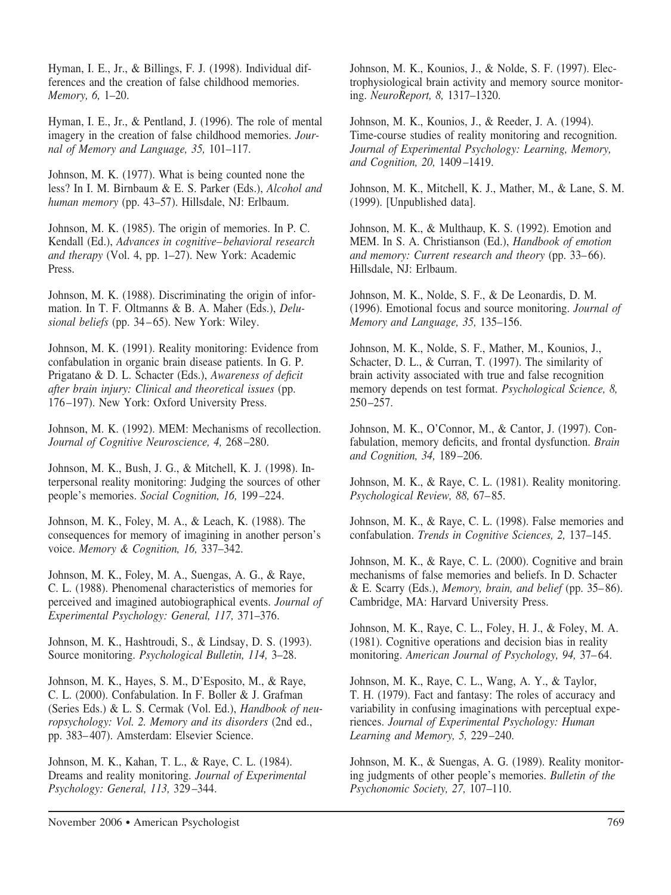Hyman, I. E., Jr., & Billings, F. J. (1998). Individual differences and the creation of false childhood memories. *Memory, 6,* 1–20.

Hyman, I. E., Jr., & Pentland, J. (1996). The role of mental imagery in the creation of false childhood memories. *Journal of Memory and Language, 35,* 101–117.

Johnson, M. K. (1977). What is being counted none the less? In I. M. Birnbaum & E. S. Parker (Eds.), *Alcohol and human memory* (pp. 43–57). Hillsdale, NJ: Erlbaum.

Johnson, M. K. (1985). The origin of memories. In P. C. Kendall (Ed.), *Advances in cognitive– behavioral research and therapy* (Vol. 4, pp. 1–27). New York: Academic Press.

Johnson, M. K. (1988). Discriminating the origin of information. In T. F. Oltmanns & B. A. Maher (Eds.), *Delusional beliefs* (pp. 34–65). New York: Wiley.

Johnson, M. K. (1991). Reality monitoring: Evidence from confabulation in organic brain disease patients. In G. P. Prigatano & D. L. Schacter (Eds.), *Awareness of deficit after brain injury: Clinical and theoretical issues* (pp. 176–197). New York: Oxford University Press.

Johnson, M. K. (1992). MEM: Mechanisms of recollection. *Journal of Cognitive Neuroscience, 4,* 268–280.

Johnson, M. K., Bush, J. G., & Mitchell, K. J. (1998). Interpersonal reality monitoring: Judging the sources of other people's memories. *Social Cognition, 16,* 199–224.

Johnson, M. K., Foley, M. A., & Leach, K. (1988). The consequences for memory of imagining in another person's voice. *Memory & Cognition, 16,* 337–342.

Johnson, M. K., Foley, M. A., Suengas, A. G., & Raye, C. L. (1988). Phenomenal characteristics of memories for perceived and imagined autobiographical events. *Journal of Experimental Psychology: General, 117,* 371–376.

Johnson, M. K., Hashtroudi, S., & Lindsay, D. S. (1993). Source monitoring. *Psychological Bulletin, 114,* 3–28.

Johnson, M. K., Hayes, S. M., D'Esposito, M., & Raye, C. L. (2000). Confabulation. In F. Boller & J. Grafman (Series Eds.) & L. S. Cermak (Vol. Ed.), *Handbook of neuropsychology: Vol. 2. Memory and its disorders* (2nd ed., pp. 383–407). Amsterdam: Elsevier Science.

Johnson, M. K., Kahan, T. L., & Raye, C. L. (1984). Dreams and reality monitoring. *Journal of Experimental Psychology: General, 113,* 329–344.

Johnson, M. K., Kounios, J., & Nolde, S. F. (1997). Electrophysiological brain activity and memory source monitoring. *NeuroReport, 8,* 1317–1320.

Johnson, M. K., Kounios, J., & Reeder, J. A. (1994). Time-course studies of reality monitoring and recognition. *Journal of Experimental Psychology: Learning, Memory, and Cognition, 20,* 1409–1419.

Johnson, M. K., Mitchell, K. J., Mather, M., & Lane, S. M. (1999). [Unpublished data].

Johnson, M. K., & Multhaup, K. S. (1992). Emotion and MEM. In S. A. Christianson (Ed.), *Handbook of emotion and memory: Current research and theory* (pp. 33–66). Hillsdale, NJ: Erlbaum.

Johnson, M. K., Nolde, S. F., & De Leonardis, D. M. (1996). Emotional focus and source monitoring. *Journal of Memory and Language, 35,* 135–156.

Johnson, M. K., Nolde, S. F., Mather, M., Kounios, J., Schacter, D. L., & Curran, T. (1997). The similarity of brain activity associated with true and false recognition memory depends on test format. *Psychological Science, 8,* 250–257.

Johnson, M. K., O'Connor, M., & Cantor, J. (1997). Confabulation, memory deficits, and frontal dysfunction. *Brain and Cognition, 34,* 189–206.

Johnson, M. K., & Raye, C. L. (1981). Reality monitoring. *Psychological Review, 88,* 67–85.

Johnson, M. K., & Raye, C. L. (1998). False memories and confabulation. *Trends in Cognitive Sciences, 2,* 137–145.

Johnson, M. K., & Raye, C. L. (2000). Cognitive and brain mechanisms of false memories and beliefs. In D. Schacter & E. Scarry (Eds.), *Memory, brain, and belief* (pp. 35–86). Cambridge, MA: Harvard University Press.

Johnson, M. K., Raye, C. L., Foley, H. J., & Foley, M. A. (1981). Cognitive operations and decision bias in reality monitoring. *American Journal of Psychology, 94,* 37–64.

Johnson, M. K., Raye, C. L., Wang, A. Y., & Taylor, T. H. (1979). Fact and fantasy: The roles of accuracy and variability in confusing imaginations with perceptual experiences. *Journal of Experimental Psychology: Human Learning and Memory, 5,* 229–240.

Johnson, M. K., & Suengas, A. G. (1989). Reality monitoring judgments of other people's memories. *Bulletin of the Psychonomic Society, 27,* 107–110.

November 2006 ● American Psychologist 769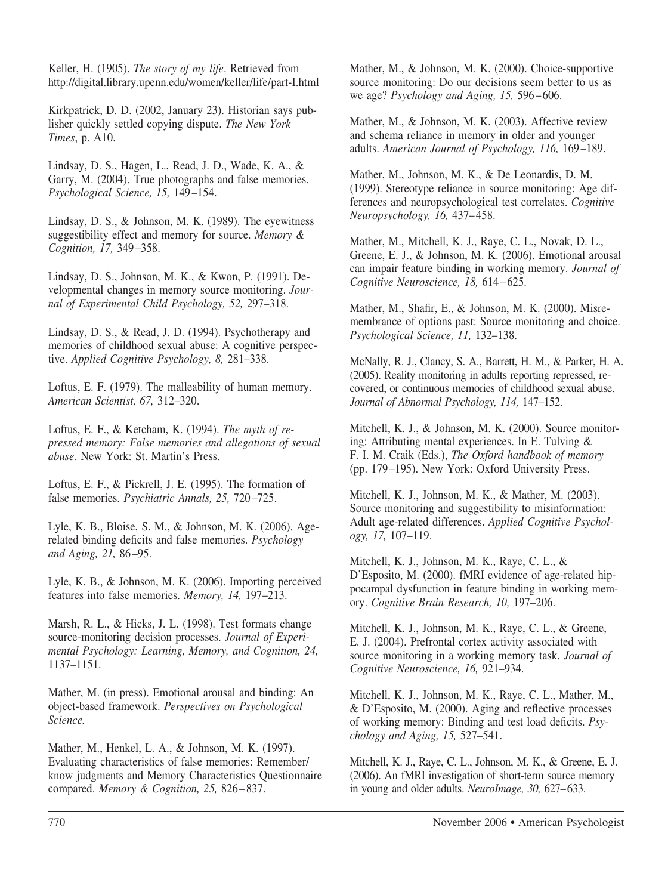Keller, H. (1905). *The story of my life*. Retrieved from http://digital.library.upenn.edu/women/keller/life/part-I.html

Kirkpatrick, D. D. (2002, January 23). Historian says publisher quickly settled copying dispute. *The New York Times*, p. A10.

Lindsay, D. S., Hagen, L., Read, J. D., Wade, K. A., & Garry, M. (2004). True photographs and false memories. *Psychological Science, 15,* 149–154.

Lindsay, D. S., & Johnson, M. K. (1989). The eyewitness suggestibility effect and memory for source. *Memory & Cognition, 17,* 349–358.

Lindsay, D. S., Johnson, M. K., & Kwon, P. (1991). Developmental changes in memory source monitoring. *Journal of Experimental Child Psychology, 52,* 297–318.

Lindsay, D. S., & Read, J. D. (1994). Psychotherapy and memories of childhood sexual abuse: A cognitive perspective. *Applied Cognitive Psychology, 8,* 281–338.

Loftus, E. F. (1979). The malleability of human memory. *American Scientist, 67,* 312–320.

Loftus, E. F., & Ketcham, K. (1994). *The myth of repressed memory: False memories and allegations of sexual abuse.* New York: St. Martin's Press.

Loftus, E. F., & Pickrell, J. E. (1995). The formation of false memories. *Psychiatric Annals, 25,* 720–725.

Lyle, K. B., Bloise, S. M., & Johnson, M. K. (2006). Agerelated binding deficits and false memories. *Psychology and Aging, 21,* 86–95.

Lyle, K. B., & Johnson, M. K. (2006). Importing perceived features into false memories. *Memory, 14,* 197–213.

Marsh, R. L., & Hicks, J. L. (1998). Test formats change source-monitoring decision processes. *Journal of Experimental Psychology: Learning, Memory, and Cognition, 24,* 1137–1151.

Mather, M. (in press). Emotional arousal and binding: An object-based framework. *Perspectives on Psychological Science.*

Mather, M., Henkel, L. A., & Johnson, M. K. (1997). Evaluating characteristics of false memories: Remember/ know judgments and Memory Characteristics Questionnaire compared. *Memory & Cognition, 25,* 826–837.

Mather, M., & Johnson, M. K. (2000). Choice-supportive source monitoring: Do our decisions seem better to us as we age? *Psychology and Aging, 15,* 596–606.

Mather, M., & Johnson, M. K. (2003). Affective review and schema reliance in memory in older and younger adults. *American Journal of Psychology, 116,* 169–189.

Mather, M., Johnson, M. K., & De Leonardis, D. M. (1999). Stereotype reliance in source monitoring: Age differences and neuropsychological test correlates. *Cognitive Neuropsychology, 16,* 437–458.

Mather, M., Mitchell, K. J., Raye, C. L., Novak, D. L., Greene, E. J., & Johnson, M. K. (2006). Emotional arousal can impair feature binding in working memory. *Journal of Cognitive Neuroscience, 18,* 614–625.

Mather, M., Shafir, E., & Johnson, M. K. (2000). Misremembrance of options past: Source monitoring and choice. *Psychological Science, 11,* 132–138.

McNally, R. J., Clancy, S. A., Barrett, H. M., & Parker, H. A. (2005). Reality monitoring in adults reporting repressed, recovered, or continuous memories of childhood sexual abuse. *Journal of Abnormal Psychology, 114,* 147–152.

Mitchell, K. J., & Johnson, M. K. (2000). Source monitoring: Attributing mental experiences. In E. Tulving & F. I. M. Craik (Eds.), *The Oxford handbook of memory* (pp. 179–195). New York: Oxford University Press.

Mitchell, K. J., Johnson, M. K., & Mather, M. (2003). Source monitoring and suggestibility to misinformation: Adult age-related differences. *Applied Cognitive Psychology, 17,* 107–119.

Mitchell, K. J., Johnson, M. K., Raye, C. L., & D'Esposito, M. (2000). fMRI evidence of age-related hippocampal dysfunction in feature binding in working memory. *Cognitive Brain Research, 10,* 197–206.

Mitchell, K. J., Johnson, M. K., Raye, C. L., & Greene, E. J. (2004). Prefrontal cortex activity associated with source monitoring in a working memory task. *Journal of Cognitive Neuroscience, 16,* 921–934.

Mitchell, K. J., Johnson, M. K., Raye, C. L., Mather, M., & D'Esposito, M. (2000). Aging and reflective processes of working memory: Binding and test load deficits. *Psychology and Aging, 15,* 527–541.

Mitchell, K. J., Raye, C. L., Johnson, M. K., & Greene, E. J. (2006). An fMRI investigation of short-term source memory in young and older adults. *NeuroImage, 30,* 627–633.